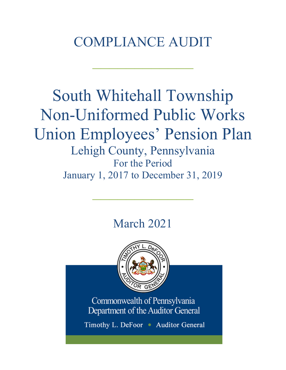# COMPLIANCE AUDIT

 $\frac{1}{2}$ 

# South Whitehall Township Non-Uniformed Public Works Union Employees' Pension Plan Lehigh County, Pennsylvania For the Period

January 1, 2017 to December 31, 2019  $\mathcal{L}_\text{max}$  and  $\mathcal{L}_\text{max}$  and  $\mathcal{L}_\text{max}$ 

# March 2021



Commonwealth of Pennsylvania Department of the Auditor General

Timothy L. DeFoor • Auditor General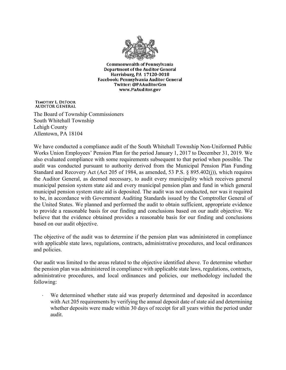

**Commonwealth of Pennsylvania** Department of the Auditor General Harrisburg, PA 17120-0018 Facebook: Pennsylvania Auditor General Twitter: @PAAuditorGen www.PaAuditor.gov

TIMOTHY L. DEFOOR **AUDITOR GENERAL** 

The Board of Township Commissioners South Whitehall Township Lehigh County Allentown, PA 18104

We have conducted a compliance audit of the South Whitehall Township Non-Uniformed Public Works Union Employees' Pension Plan for the period January 1, 2017 to December 31, 2019. We also evaluated compliance with some requirements subsequent to that period when possible. The audit was conducted pursuant to authority derived from the Municipal Pension Plan Funding Standard and Recovery Act (Act 205 of 1984, as amended, 53 P.S. § 895.402(j)), which requires the Auditor General, as deemed necessary, to audit every municipality which receives general municipal pension system state aid and every municipal pension plan and fund in which general municipal pension system state aid is deposited. The audit was not conducted, nor was it required to be, in accordance with Government Auditing Standards issued by the Comptroller General of the United States. We planned and performed the audit to obtain sufficient, appropriate evidence to provide a reasonable basis for our finding and conclusions based on our audit objective. We believe that the evidence obtained provides a reasonable basis for our finding and conclusions based on our audit objective.

The objective of the audit was to determine if the pension plan was administered in compliance with applicable state laws, regulations, contracts, administrative procedures, and local ordinances and policies.

Our audit was limited to the areas related to the objective identified above. To determine whether the pension plan was administered in compliance with applicable state laws, regulations, contracts, administrative procedures, and local ordinances and policies, our methodology included the following:

We determined whether state aid was properly determined and deposited in accordance with Act 205 requirements by verifying the annual deposit date of state aid and determining whether deposits were made within 30 days of receipt for all years within the period under audit.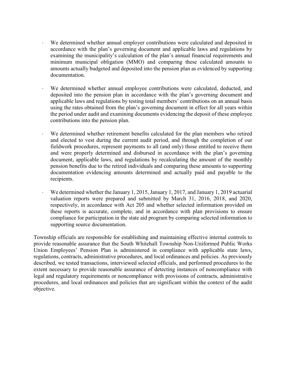- ⋅ We determined whether annual employer contributions were calculated and deposited in accordance with the plan's governing document and applicable laws and regulations by examining the municipality's calculation of the plan's annual financial requirements and minimum municipal obligation (MMO) and comparing these calculated amounts to amounts actually budgeted and deposited into the pension plan as evidenced by supporting documentation.
- We determined whether annual employee contributions were calculated, deducted, and deposited into the pension plan in accordance with the plan's governing document and applicable laws and regulations by testing total members' contributions on an annual basis using the rates obtained from the plan's governing document in effect for all years within the period under audit and examining documents evidencing the deposit of these employee contributions into the pension plan.
- We determined whether retirement benefits calculated for the plan members who retired and elected to vest during the current audit period, and through the completion of our fieldwork procedures, represent payments to all (and only) those entitled to receive them and were properly determined and disbursed in accordance with the plan's governing document, applicable laws, and regulations by recalculating the amount of the monthly pension benefits due to the retired individuals and comparing these amounts to supporting documentation evidencing amounts determined and actually paid and payable to the recipients.
- We determined whether the January 1, 2015, January 1, 2017, and January 1, 2019 actuarial valuation reports were prepared and submitted by March 31, 2016, 2018, and 2020, respectively, in accordance with Act 205 and whether selected information provided on these reports is accurate, complete, and in accordance with plan provisions to ensure compliance for participation in the state aid program by comparing selected information to supporting source documentation.

Township officials are responsible for establishing and maintaining effective internal controls to provide reasonable assurance that the South Whitehall Township Non-Uniformed Public Works Union Employees' Pension Plan is administered in compliance with applicable state laws, regulations, contracts, administrative procedures, and local ordinances and policies. As previously described, we tested transactions, interviewed selected officials, and performed procedures to the extent necessary to provide reasonable assurance of detecting instances of noncompliance with legal and regulatory requirements or noncompliance with provisions of contracts, administrative procedures, and local ordinances and policies that are significant within the context of the audit objective.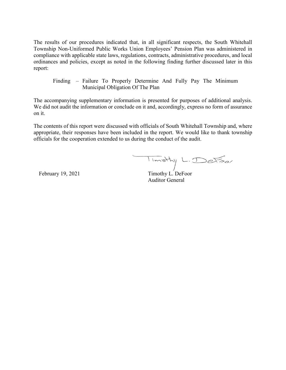The results of our procedures indicated that, in all significant respects, the South Whitehall Township Non-Uniformed Public Works Union Employees' Pension Plan was administered in compliance with applicable state laws, regulations, contracts, administrative procedures, and local ordinances and policies, except as noted in the following finding further discussed later in this report:

Finding – Failure To Properly Determine And Fully Pay The Minimum Municipal Obligation Of The Plan

The accompanying supplementary information is presented for purposes of additional analysis. We did not audit the information or conclude on it and, accordingly, express no form of assurance on it.

The contents of this report were discussed with officials of South Whitehall Township and, where appropriate, their responses have been included in the report. We would like to thank township officials for the cooperation extended to us during the conduct of the audit.

February 19, 2021 Timothy L. DeFoor

Auditor General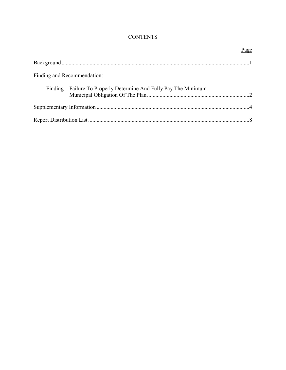# **CONTENTS**

|                                                                   | Page |
|-------------------------------------------------------------------|------|
|                                                                   |      |
| Finding and Recommendation:                                       |      |
| Finding – Failure To Properly Determine And Fully Pay The Minimum |      |
|                                                                   |      |
|                                                                   |      |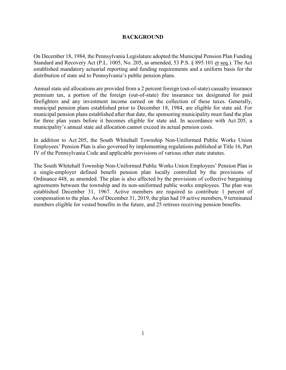### **BACKGROUND**

On December 18, 1984, the Pennsylvania Legislature adopted the Municipal Pension Plan Funding Standard and Recovery Act (P.L. 1005, No. 205, as amended, 53 P.S. § 895.101 et seq.). The Act established mandatory actuarial reporting and funding requirements and a uniform basis for the distribution of state aid to Pennsylvania's public pension plans.

Annual state aid allocations are provided from a 2 percent foreign (out-of-state) casualty insurance premium tax, a portion of the foreign (out-of-state) fire insurance tax designated for paid firefighters and any investment income earned on the collection of these taxes. Generally, municipal pension plans established prior to December 18, 1984, are eligible for state aid. For municipal pension plans established after that date, the sponsoring municipality must fund the plan for three plan years before it becomes eligible for state aid. In accordance with Act 205, a municipality's annual state aid allocation cannot exceed its actual pension costs.

In addition to Act 205, the South Whitehall Township Non-Uniformed Public Works Union Employees' Pension Plan is also governed by implementing regulations published at Title 16, Part IV of the Pennsylvania Code and applicable provisions of various other state statutes.

The South Whitehall Township Non-Uniformed Public Works Union Employees' Pension Plan is a single-employer defined benefit pension plan locally controlled by the provisions of Ordinance 448, as amended. The plan is also affected by the provisions of collective bargaining agreements between the township and its non-uniformed public works employees. The plan was established December 31, 1967. Active members are required to contribute 1 percent of compensation to the plan. As of December 31, 2019, the plan had 19 active members, 9 terminated members eligible for vested benefits in the future, and 25 retirees receiving pension benefits.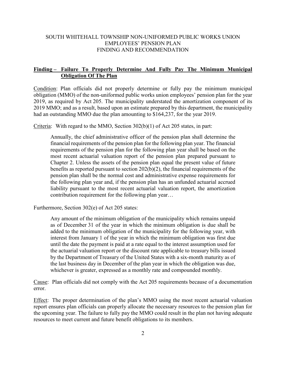# SOUTH WHITEHALL TOWNSHIP NON-UNIFORMED PUBLIC WORKS UNION EMPLOYEES' PENSION PLAN FINDING AND RECOMMENDATION

# **Finding – Failure To Properly Determine And Fully Pay The Minimum Municipal Obligation Of The Plan**

Condition: Plan officials did not properly determine or fully pay the minimum municipal obligation (MMO) of the non-uniformed public works union employees' pension plan for the year 2019, as required by Act 205. The municipality understated the amortization component of its 2019 MMO; and as a result, based upon an estimate prepared by this department, the municipality had an outstanding MMO due the plan amounting to \$164,237, for the year 2019.

Criteria: With regard to the MMO, Section 302(b)(1) of Act 205 states, in part:

Annually, the chief administrative officer of the pension plan shall determine the financial requirements of the pension plan for the following plan year. The financial requirements of the pension plan for the following plan year shall be based on the most recent actuarial valuation report of the pension plan prepared pursuant to Chapter 2. Unless the assets of the pension plan equal the present value of future benefits as reported pursuant to section 202(b)(2), the financial requirements of the pension plan shall be the normal cost and administrative expense requirements for the following plan year and, if the pension plan has an unfunded actuarial accrued liability pursuant to the most recent actuarial valuation report, the amortization contribution requirement for the following plan year…

Furthermore, Section 302(e) of Act 205 states:

Any amount of the minimum obligation of the municipality which remains unpaid as of December 31 of the year in which the minimum obligation is due shall be added to the minimum obligation of the municipality for the following year, with interest from January 1 of the year in which the minimum obligation was first due until the date the payment is paid at a rate equal to the interest assumption used for the actuarial valuation report or the discount rate applicable to treasury bills issued by the Department of Treasury of the United States with a six-month maturity as of the last business day in December of the plan year in which the obligation was due, whichever is greater, expressed as a monthly rate and compounded monthly.

Cause: Plan officials did not comply with the Act 205 requirements because of a documentation error.

Effect: The proper determination of the plan's MMO using the most recent actuarial valuation report ensures plan officials can properly allocate the necessary resources to the pension plan for the upcoming year. The failure to fully pay the MMO could result in the plan not having adequate resources to meet current and future benefit obligations to its members.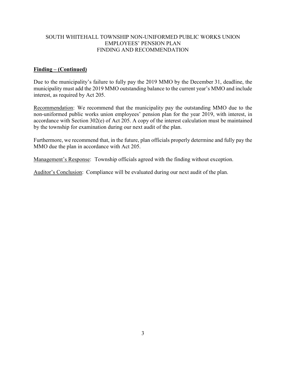# SOUTH WHITEHALL TOWNSHIP NON-UNIFORMED PUBLIC WORKS UNION EMPLOYEES' PENSION PLAN FINDING AND RECOMMENDATION

# **Finding – (Continued)**

Due to the municipality's failure to fully pay the 2019 MMO by the December 31, deadline, the municipality must add the 2019 MMO outstanding balance to the current year's MMO and include interest, as required by Act 205.

Recommendation: We recommend that the municipality pay the outstanding MMO due to the non-uniformed public works union employees' pension plan for the year 2019, with interest, in accordance with Section 302(e) of Act 205. A copy of the interest calculation must be maintained by the township for examination during our next audit of the plan.

Furthermore, we recommend that, in the future, plan officials properly determine and fully pay the MMO due the plan in accordance with Act 205.

Management's Response: Township officials agreed with the finding without exception.

Auditor's Conclusion: Compliance will be evaluated during our next audit of the plan.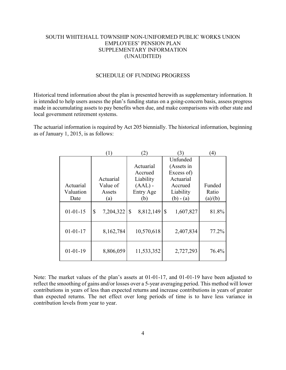# SOUTH WHITEHALL TOWNSHIP NON-UNIFORMED PUBLIC WORKS UNION EMPLOYEES' PENSION PLAN SUPPLEMENTARY INFORMATION (UNAUDITED)

#### SCHEDULE OF FUNDING PROGRESS

Historical trend information about the plan is presented herewith as supplementary information. It is intended to help users assess the plan's funding status on a going-concern basis, assess progress made in accumulating assets to pay benefits when due, and make comparisons with other state and local government retirement systems.

The actuarial information is required by Act 205 biennially. The historical information, beginning as of January 1, 2015, is as follows:

|                | $\left(1\right)$          | (2)                       | (3)                        | (4)     |
|----------------|---------------------------|---------------------------|----------------------------|---------|
|                |                           |                           | Unfunded                   |         |
|                |                           | Actuarial                 | (Assets in                 |         |
|                |                           | Accrued                   | Excess of)                 |         |
|                | Actuarial                 | Liability                 | Actuarial                  |         |
| Actuarial      | Value of                  | $(AAL)$ -                 | Accrued                    | Funded  |
| Valuation      | Assets                    | Entry Age                 | Liability                  | Ratio   |
| Date           | (a)                       | (b)                       | $(b) - (a)$                | (a)/(b) |
| $01 - 01 - 15$ | $\mathbb{S}$<br>7,204,322 | 8,812,149<br>$\mathbb{S}$ | $\mathcal{S}$<br>1,607,827 | 81.8%   |
| $01 - 01 - 17$ | 8,162,784                 | 10,570,618                | 2,407,834                  | 77.2%   |
| $01 - 01 - 19$ | 8,806,059                 | 11,533,352                | 2,727,293                  | 76.4%   |

Note: The market values of the plan's assets at 01-01-17, and 01-01-19 have been adjusted to reflect the smoothing of gains and/or losses over a 5-year averaging period. This method will lower contributions in years of less than expected returns and increase contributions in years of greater than expected returns. The net effect over long periods of time is to have less variance in contribution levels from year to year.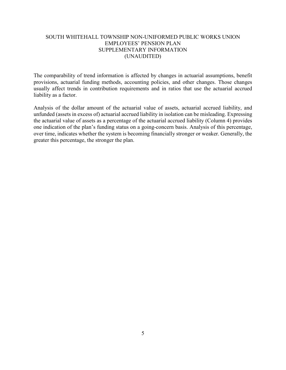# SOUTH WHITEHALL TOWNSHIP NON-UNIFORMED PUBLIC WORKS UNION EMPLOYEES' PENSION PLAN SUPPLEMENTARY INFORMATION (UNAUDITED)

The comparability of trend information is affected by changes in actuarial assumptions, benefit provisions, actuarial funding methods, accounting policies, and other changes. Those changes usually affect trends in contribution requirements and in ratios that use the actuarial accrued liability as a factor.

Analysis of the dollar amount of the actuarial value of assets, actuarial accrued liability, and unfunded (assets in excess of) actuarial accrued liability in isolation can be misleading. Expressing the actuarial value of assets as a percentage of the actuarial accrued liability (Column 4) provides one indication of the plan's funding status on a going-concern basis. Analysis of this percentage, over time, indicates whether the system is becoming financially stronger or weaker. Generally, the greater this percentage, the stronger the plan.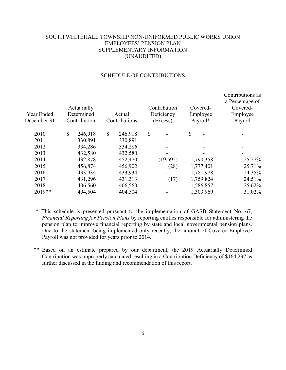# SOUTH WHITEHALL TOWNSHIP NON-UNIFORMED PUBLIC WORKS UNION EMPLOYEES' PENSION PLAN SUPPLEMENTARY INFORMATION (UNAUDITED)

|              |                                                      |              |                                    |                          |                                                             | Contributions as<br>a Percentage of<br>Covered-<br>Employee<br>Payroll                                               |  |
|--------------|------------------------------------------------------|--------------|------------------------------------|--------------------------|-------------------------------------------------------------|----------------------------------------------------------------------------------------------------------------------|--|
|              |                                                      |              |                                    |                          |                                                             |                                                                                                                      |  |
|              |                                                      |              |                                    |                          |                                                             |                                                                                                                      |  |
| 330,891      |                                                      | 330,891      |                                    |                          |                                                             |                                                                                                                      |  |
| 334,286      |                                                      | 334,286      |                                    |                          |                                                             |                                                                                                                      |  |
| 432,580      |                                                      | 432,580      |                                    | -                        |                                                             |                                                                                                                      |  |
| 432,878      |                                                      | 452,470      |                                    |                          |                                                             | 25.27%                                                                                                               |  |
| 456,874      |                                                      | 456,902      |                                    | (28)                     |                                                             | 25.71%                                                                                                               |  |
| 433,934      |                                                      | 433,934      |                                    | $\overline{\phantom{a}}$ |                                                             | 24.35%                                                                                                               |  |
| 431,296      |                                                      | 431,313      |                                    |                          |                                                             | 24.51%                                                                                                               |  |
| 406,560      |                                                      | 406,560      |                                    |                          |                                                             | 25.62%                                                                                                               |  |
| 404,504      |                                                      | 404,504      |                                    |                          |                                                             | 31.02%                                                                                                               |  |
| $\mathbb{S}$ | Actuarially<br>Determined<br>Contribution<br>246,918 | $\mathbb{S}$ | Actual<br>Contributions<br>246,918 | $\mathcal{S}$            | Contribution<br>Deficiency<br>(Excess)<br>(19, 592)<br>(17) | \$<br>Covered-<br>Employee<br>Payroll*<br>1,790,358<br>1,777,401<br>1,781,978<br>1,759,824<br>1,586,857<br>1,303,969 |  |

#### SCHEDULE OF CONTRIBUTIONS

\* This schedule is presented pursuant to the implementation of GASB Statement No. 67, *Financial Reporting for Pension Plans* by reporting entities responsible for administering the pension plan to improve financial reporting by state and local governmental pension plans. Due to the statement being implemented only recently, the amount of Covered-Employee Payroll was not provided for years prior to 2014.

\*\* Based on an estimate prepared by our department, the 2019 Actuarially Determined Contribution was improperly calculated resulting in a Contribution Deficiency of \$164,237 as further discussed in the finding and recommendation of this report.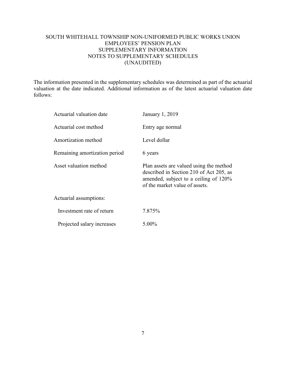# SOUTH WHITEHALL TOWNSHIP NON-UNIFORMED PUBLIC WORKS UNION EMPLOYEES' PENSION PLAN SUPPLEMENTARY INFORMATION NOTES TO SUPPLEMENTARY SCHEDULES (UNAUDITED)

The information presented in the supplementary schedules was determined as part of the actuarial valuation at the date indicated. Additional information as of the latest actuarial valuation date follows:

| Actuarial valuation date      | January 1, 2019                                                                                                                                               |
|-------------------------------|---------------------------------------------------------------------------------------------------------------------------------------------------------------|
| Actuarial cost method         | Entry age normal                                                                                                                                              |
| Amortization method           | Level dollar                                                                                                                                                  |
| Remaining amortization period | 6 years                                                                                                                                                       |
| Asset valuation method        | Plan assets are valued using the method<br>described in Section 210 of Act 205, as<br>amended, subject to a ceiling of 120%<br>of the market value of assets. |
| Actuarial assumptions:        |                                                                                                                                                               |
| Investment rate of return     | 7.875%                                                                                                                                                        |
| Projected salary increases    | 5.00%                                                                                                                                                         |